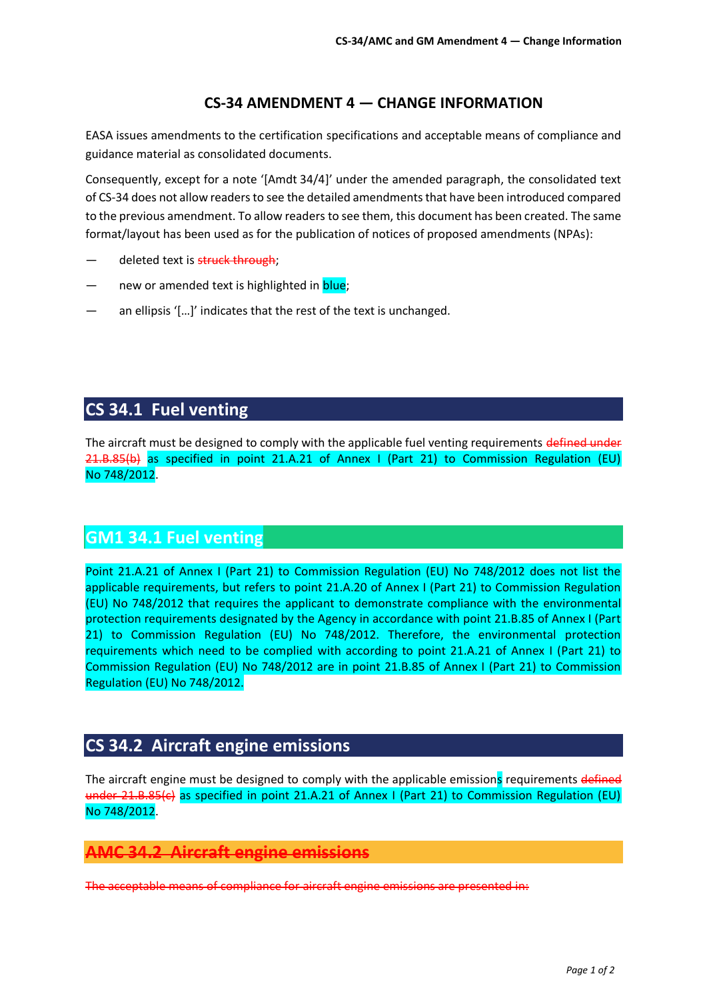### **CS-34 AMENDMENT 4 — CHANGE INFORMATION**

EASA issues amendments to the certification specifications and acceptable means of compliance and guidance material as consolidated documents.

Consequently, except for a note '[Amdt 34/4]' under the amended paragraph, the consolidated text of CS-34 does not allow readers to see the detailed amendments that have been introduced compared to the previous amendment. To allow readers to see them, this document has been created. The same format/layout has been used as for the publication of notices of proposed amendments (NPAs):

- deleted text is struck through:
- new or amended text is highlighted in **blue**;
- an ellipsis '[...]' indicates that the rest of the text is unchanged.

# **CS 34.1 Fuel venting**

The aircraft must be designed to comply with the applicable fuel venting requirements defined under 21.B.85(b) as specified in point 21.A.21 of Annex I (Part 21) to Commission Regulation (EU) No 748/2012.

## **GM1 34.1 Fuel venting**

Point 21.A.21 of Annex I (Part 21) to Commission Regulation (EU) No 748/2012 does not list the applicable requirements, but refers to point 21.A.20 of Annex I (Part 21) to Commission Regulation (EU) No 748/2012 that requires the applicant to demonstrate compliance with the environmental protection requirements designated by the Agency in accordance with point 21.B.85 of Annex I (Part 21) to Commission Regulation (EU) No 748/2012. Therefore, the environmental protection requirements which need to be complied with according to point 21.A.21 of Annex I (Part 21) to Commission Regulation (EU) No 748/2012 are in point 21.B.85 of Annex I (Part 21) to Commission Regulation (EU) No 748/2012.

## **CS 34.2 Aircraft engine emissions**

The aircraft engine must be designed to comply with the applicable emissions requirements defined under 21.B.85(c) as specified in point 21.A.21 of Annex I (Part 21) to Commission Regulation (EU) No 748/2012.

#### **AMC 34.2 Aircraft engine emissions**

The acceptable means of compliance for aircraft engine emissions are presented in: